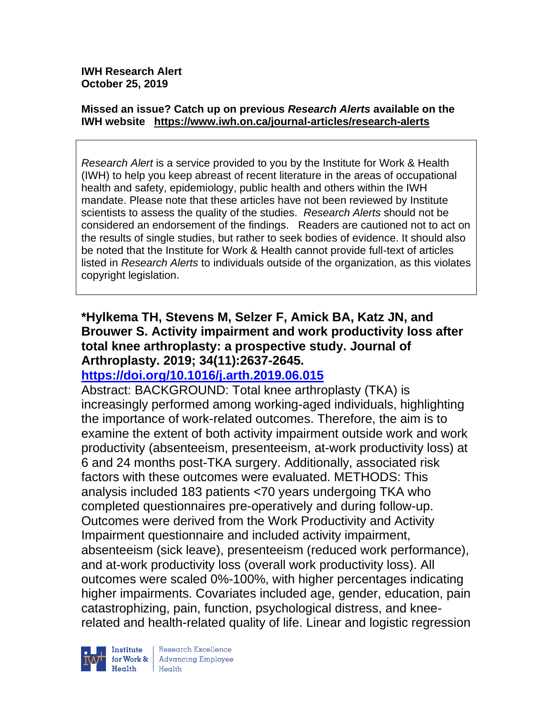#### **Missed an issue? Catch up on previous** *Research Alerts* **available on the [IWH website](http://www.iwh.on.ca/research-alerts) <https://www.iwh.on.ca/journal-articles/research-alerts>**

*Research Alert* is a service provided to you by the Institute for Work & Health (IWH) to help you keep abreast of recent literature in the areas of occupational health and safety, epidemiology, public health and others within the IWH mandate. Please note that these articles have not been reviewed by Institute scientists to assess the quality of the studies. *Research Alerts* should not be considered an endorsement of the findings. Readers are cautioned not to act on the results of single studies, but rather to seek bodies of evidence. It should also be noted that the Institute for Work & Health cannot provide full-text of articles listed in *Research Alerts* to individuals outside of the organization, as this violates copyright legislation.

# **\*Hylkema TH, Stevens M, Selzer F, Amick BA, Katz JN, and Brouwer S. Activity impairment and work productivity loss after total knee arthroplasty: a prospective study. Journal of Arthroplasty. 2019; 34(11):2637-2645.**

# **<https://doi.org/10.1016/j.arth.2019.06.015>**

Abstract: BACKGROUND: Total knee arthroplasty (TKA) is increasingly performed among working-aged individuals, highlighting the importance of work-related outcomes. Therefore, the aim is to examine the extent of both activity impairment outside work and work productivity (absenteeism, presenteeism, at-work productivity loss) at 6 and 24 months post-TKA surgery. Additionally, associated risk factors with these outcomes were evaluated. METHODS: This analysis included 183 patients <70 years undergoing TKA who completed questionnaires pre-operatively and during follow-up. Outcomes were derived from the Work Productivity and Activity Impairment questionnaire and included activity impairment, absenteeism (sick leave), presenteeism (reduced work performance), and at-work productivity loss (overall work productivity loss). All outcomes were scaled 0%-100%, with higher percentages indicating higher impairments. Covariates included age, gender, education, pain catastrophizing, pain, function, psychological distress, and kneerelated and health-related quality of life. Linear and logistic regression

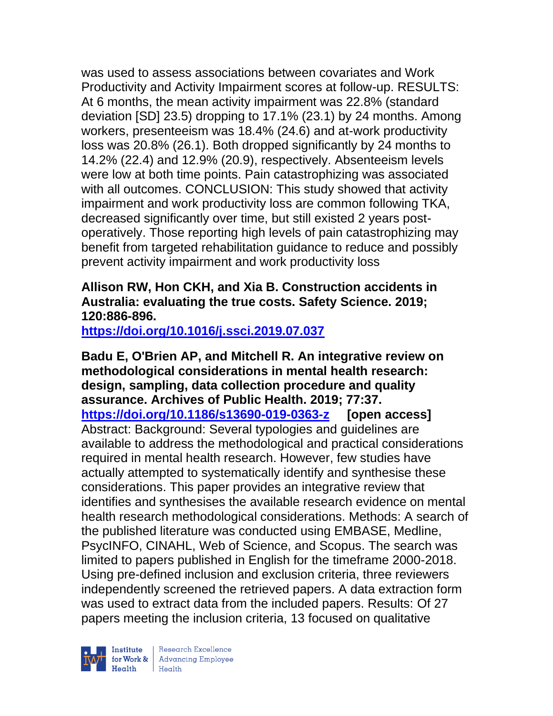was used to assess associations between covariates and Work Productivity and Activity Impairment scores at follow-up. RESULTS: At 6 months, the mean activity impairment was 22.8% (standard deviation [SD] 23.5) dropping to 17.1% (23.1) by 24 months. Among workers, presenteeism was 18.4% (24.6) and at-work productivity loss was 20.8% (26.1). Both dropped significantly by 24 months to 14.2% (22.4) and 12.9% (20.9), respectively. Absenteeism levels were low at both time points. Pain catastrophizing was associated with all outcomes. CONCLUSION: This study showed that activity impairment and work productivity loss are common following TKA, decreased significantly over time, but still existed 2 years postoperatively. Those reporting high levels of pain catastrophizing may benefit from targeted rehabilitation guidance to reduce and possibly prevent activity impairment and work productivity loss

## **Allison RW, Hon CKH, and Xia B. Construction accidents in Australia: evaluating the true costs. Safety Science. 2019; 120:886-896.**

**<https://doi.org/10.1016/j.ssci.2019.07.037>** 

**Badu E, O'Brien AP, and Mitchell R. An integrative review on methodological considerations in mental health research: design, sampling, data collection procedure and quality assurance. Archives of Public Health. 2019; 77:37. <https://doi.org/10.1186/s13690-019-0363-z> [open access]** Abstract: Background: Several typologies and guidelines are available to address the methodological and practical considerations required in mental health research. However, few studies have actually attempted to systematically identify and synthesise these considerations. This paper provides an integrative review that identifies and synthesises the available research evidence on mental health research methodological considerations. Methods: A search of the published literature was conducted using EMBASE, Medline, PsycINFO, CINAHL, Web of Science, and Scopus. The search was limited to papers published in English for the timeframe 2000-2018. Using pre-defined inclusion and exclusion criteria, three reviewers independently screened the retrieved papers. A data extraction form was used to extract data from the included papers. Results: Of 27 papers meeting the inclusion criteria, 13 focused on qualitative

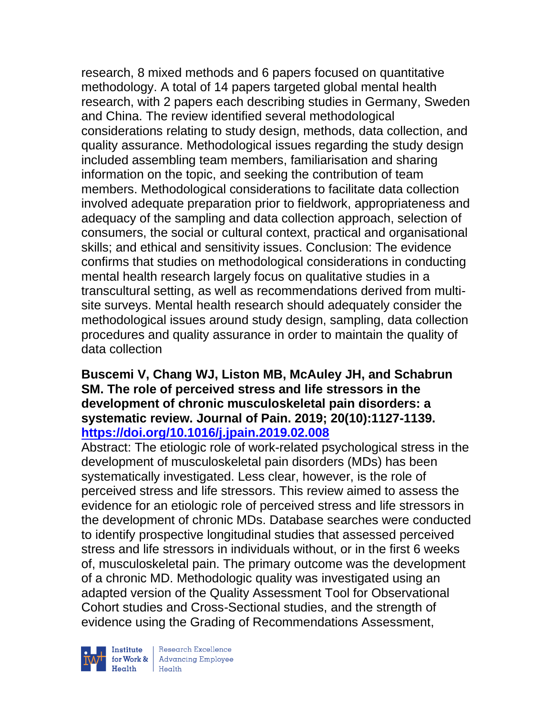research, 8 mixed methods and 6 papers focused on quantitative methodology. A total of 14 papers targeted global mental health research, with 2 papers each describing studies in Germany, Sweden and China. The review identified several methodological considerations relating to study design, methods, data collection, and quality assurance. Methodological issues regarding the study design included assembling team members, familiarisation and sharing information on the topic, and seeking the contribution of team members. Methodological considerations to facilitate data collection involved adequate preparation prior to fieldwork, appropriateness and adequacy of the sampling and data collection approach, selection of consumers, the social or cultural context, practical and organisational skills; and ethical and sensitivity issues. Conclusion: The evidence confirms that studies on methodological considerations in conducting mental health research largely focus on qualitative studies in a transcultural setting, as well as recommendations derived from multisite surveys. Mental health research should adequately consider the methodological issues around study design, sampling, data collection procedures and quality assurance in order to maintain the quality of data collection

### **Buscemi V, Chang WJ, Liston MB, McAuley JH, and Schabrun SM. The role of perceived stress and life stressors in the development of chronic musculoskeletal pain disorders: a systematic review. Journal of Pain. 2019; 20(10):1127-1139. <https://doi.org/10.1016/j.jpain.2019.02.008>**

Abstract: The etiologic role of work-related psychological stress in the development of musculoskeletal pain disorders (MDs) has been systematically investigated. Less clear, however, is the role of perceived stress and life stressors. This review aimed to assess the evidence for an etiologic role of perceived stress and life stressors in the development of chronic MDs. Database searches were conducted to identify prospective longitudinal studies that assessed perceived stress and life stressors in individuals without, or in the first 6 weeks of, musculoskeletal pain. The primary outcome was the development of a chronic MD. Methodologic quality was investigated using an adapted version of the Quality Assessment Tool for Observational Cohort studies and Cross-Sectional studies, and the strength of evidence using the Grading of Recommendations Assessment,

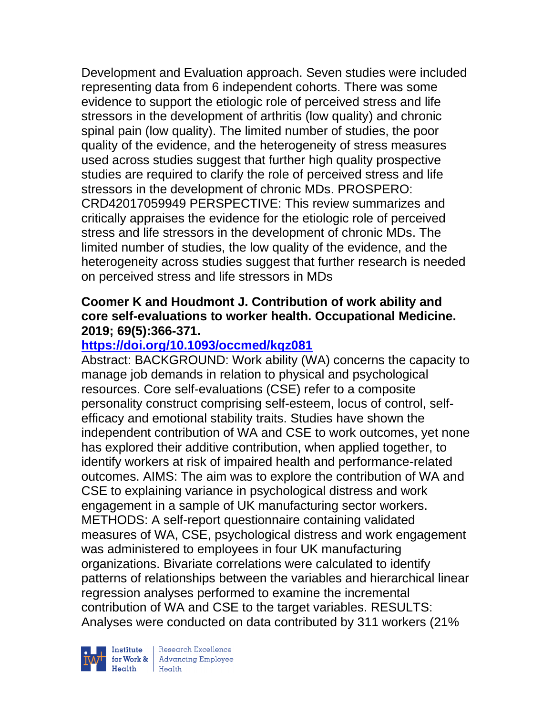Development and Evaluation approach. Seven studies were included representing data from 6 independent cohorts. There was some evidence to support the etiologic role of perceived stress and life stressors in the development of arthritis (low quality) and chronic spinal pain (low quality). The limited number of studies, the poor quality of the evidence, and the heterogeneity of stress measures used across studies suggest that further high quality prospective studies are required to clarify the role of perceived stress and life stressors in the development of chronic MDs. PROSPERO: CRD42017059949 PERSPECTIVE: This review summarizes and critically appraises the evidence for the etiologic role of perceived stress and life stressors in the development of chronic MDs. The limited number of studies, the low quality of the evidence, and the heterogeneity across studies suggest that further research is needed on perceived stress and life stressors in MDs

### **Coomer K and Houdmont J. Contribution of work ability and core self-evaluations to worker health. Occupational Medicine. 2019; 69(5):366-371.**

# **<https://doi.org/10.1093/occmed/kqz081>**

Abstract: BACKGROUND: Work ability (WA) concerns the capacity to manage job demands in relation to physical and psychological resources. Core self-evaluations (CSE) refer to a composite personality construct comprising self-esteem, locus of control, selfefficacy and emotional stability traits. Studies have shown the independent contribution of WA and CSE to work outcomes, yet none has explored their additive contribution, when applied together, to identify workers at risk of impaired health and performance-related outcomes. AIMS: The aim was to explore the contribution of WA and CSE to explaining variance in psychological distress and work engagement in a sample of UK manufacturing sector workers. METHODS: A self-report questionnaire containing validated measures of WA, CSE, psychological distress and work engagement was administered to employees in four UK manufacturing organizations. Bivariate correlations were calculated to identify patterns of relationships between the variables and hierarchical linear regression analyses performed to examine the incremental contribution of WA and CSE to the target variables. RESULTS: Analyses were conducted on data contributed by 311 workers (21%

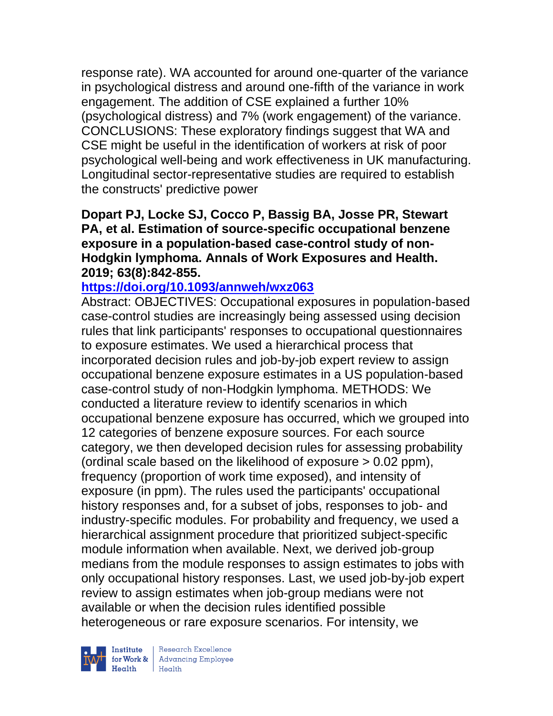response rate). WA accounted for around one-quarter of the variance in psychological distress and around one-fifth of the variance in work engagement. The addition of CSE explained a further 10% (psychological distress) and 7% (work engagement) of the variance. CONCLUSIONS: These exploratory findings suggest that WA and CSE might be useful in the identification of workers at risk of poor psychological well-being and work effectiveness in UK manufacturing. Longitudinal sector-representative studies are required to establish the constructs' predictive power

### **Dopart PJ, Locke SJ, Cocco P, Bassig BA, Josse PR, Stewart PA, et al. Estimation of source-specific occupational benzene exposure in a population-based case-control study of non-Hodgkin lymphoma. Annals of Work Exposures and Health. 2019; 63(8):842-855.**

## **<https://doi.org/10.1093/annweh/wxz063>**

Abstract: OBJECTIVES: Occupational exposures in population-based case-control studies are increasingly being assessed using decision rules that link participants' responses to occupational questionnaires to exposure estimates. We used a hierarchical process that incorporated decision rules and job-by-job expert review to assign occupational benzene exposure estimates in a US population-based case-control study of non-Hodgkin lymphoma. METHODS: We conducted a literature review to identify scenarios in which occupational benzene exposure has occurred, which we grouped into 12 categories of benzene exposure sources. For each source category, we then developed decision rules for assessing probability (ordinal scale based on the likelihood of exposure > 0.02 ppm), frequency (proportion of work time exposed), and intensity of exposure (in ppm). The rules used the participants' occupational history responses and, for a subset of jobs, responses to job- and industry-specific modules. For probability and frequency, we used a hierarchical assignment procedure that prioritized subject-specific module information when available. Next, we derived job-group medians from the module responses to assign estimates to jobs with only occupational history responses. Last, we used job-by-job expert review to assign estimates when job-group medians were not available or when the decision rules identified possible heterogeneous or rare exposure scenarios. For intensity, we



Institute Research Excellence<br>
for Work & Advancing Employee<br>
Health Health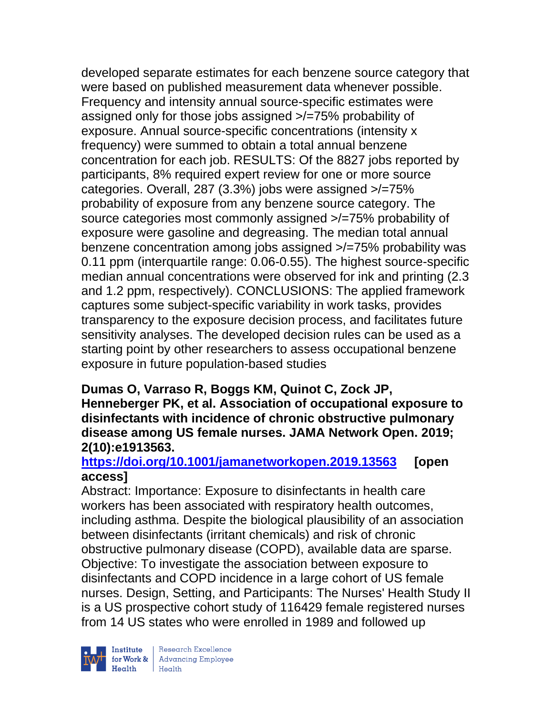developed separate estimates for each benzene source category that were based on published measurement data whenever possible. Frequency and intensity annual source-specific estimates were assigned only for those jobs assigned >/=75% probability of exposure. Annual source-specific concentrations (intensity x frequency) were summed to obtain a total annual benzene concentration for each job. RESULTS: Of the 8827 jobs reported by participants, 8% required expert review for one or more source categories. Overall, 287 (3.3%) jobs were assigned >/=75% probability of exposure from any benzene source category. The source categories most commonly assigned >/=75% probability of exposure were gasoline and degreasing. The median total annual benzene concentration among jobs assigned >/=75% probability was 0.11 ppm (interquartile range: 0.06-0.55). The highest source-specific median annual concentrations were observed for ink and printing (2.3 and 1.2 ppm, respectively). CONCLUSIONS: The applied framework captures some subject-specific variability in work tasks, provides transparency to the exposure decision process, and facilitates future sensitivity analyses. The developed decision rules can be used as a starting point by other researchers to assess occupational benzene exposure in future population-based studies

### **Dumas O, Varraso R, Boggs KM, Quinot C, Zock JP, Henneberger PK, et al. Association of occupational exposure to disinfectants with incidence of chronic obstructive pulmonary disease among US female nurses. JAMA Network Open. 2019; 2(10):e1913563.**

# **<https://doi.org/10.1001/jamanetworkopen.2019.13563> [open access]**

Abstract: Importance: Exposure to disinfectants in health care workers has been associated with respiratory health outcomes, including asthma. Despite the biological plausibility of an association between disinfectants (irritant chemicals) and risk of chronic obstructive pulmonary disease (COPD), available data are sparse. Objective: To investigate the association between exposure to disinfectants and COPD incidence in a large cohort of US female nurses. Design, Setting, and Participants: The Nurses' Health Study II is a US prospective cohort study of 116429 female registered nurses from 14 US states who were enrolled in 1989 and followed up

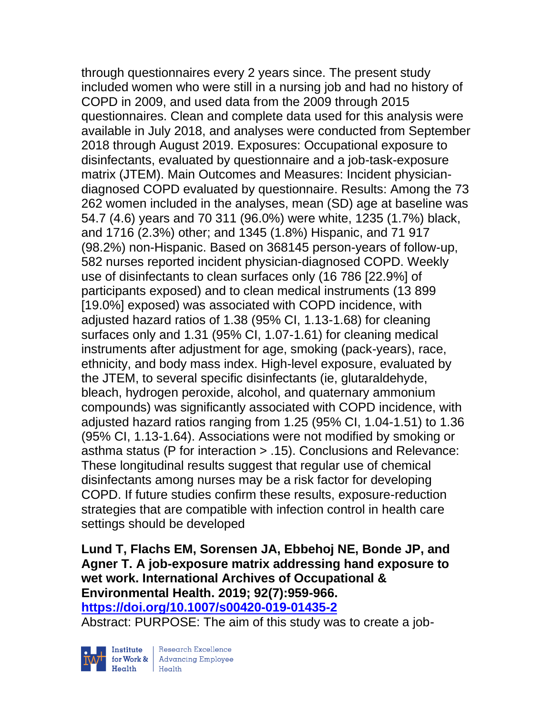through questionnaires every 2 years since. The present study included women who were still in a nursing job and had no history of COPD in 2009, and used data from the 2009 through 2015 questionnaires. Clean and complete data used for this analysis were available in July 2018, and analyses were conducted from September 2018 through August 2019. Exposures: Occupational exposure to disinfectants, evaluated by questionnaire and a job-task-exposure matrix (JTEM). Main Outcomes and Measures: Incident physiciandiagnosed COPD evaluated by questionnaire. Results: Among the 73 262 women included in the analyses, mean (SD) age at baseline was 54.7 (4.6) years and 70 311 (96.0%) were white, 1235 (1.7%) black, and 1716 (2.3%) other; and 1345 (1.8%) Hispanic, and 71 917 (98.2%) non-Hispanic. Based on 368145 person-years of follow-up, 582 nurses reported incident physician-diagnosed COPD. Weekly use of disinfectants to clean surfaces only (16 786 [22.9%] of participants exposed) and to clean medical instruments (13 899 [19.0%] exposed) was associated with COPD incidence, with adjusted hazard ratios of 1.38 (95% CI, 1.13-1.68) for cleaning surfaces only and 1.31 (95% CI, 1.07-1.61) for cleaning medical instruments after adjustment for age, smoking (pack-years), race, ethnicity, and body mass index. High-level exposure, evaluated by the JTEM, to several specific disinfectants (ie, glutaraldehyde, bleach, hydrogen peroxide, alcohol, and quaternary ammonium compounds) was significantly associated with COPD incidence, with adjusted hazard ratios ranging from 1.25 (95% CI, 1.04-1.51) to 1.36 (95% CI, 1.13-1.64). Associations were not modified by smoking or asthma status (P for interaction > .15). Conclusions and Relevance: These longitudinal results suggest that regular use of chemical disinfectants among nurses may be a risk factor for developing COPD. If future studies confirm these results, exposure-reduction strategies that are compatible with infection control in health care settings should be developed

**Lund T, Flachs EM, Sorensen JA, Ebbehoj NE, Bonde JP, and Agner T. A job-exposure matrix addressing hand exposure to wet work. International Archives of Occupational & Environmental Health. 2019; 92(7):959-966. <https://doi.org/10.1007/s00420-019-01435-2>** 

Abstract: PURPOSE: The aim of this study was to create a job-



Institute Research Excellence<br>for Work & Advancing Employee<br>Health Health Health Health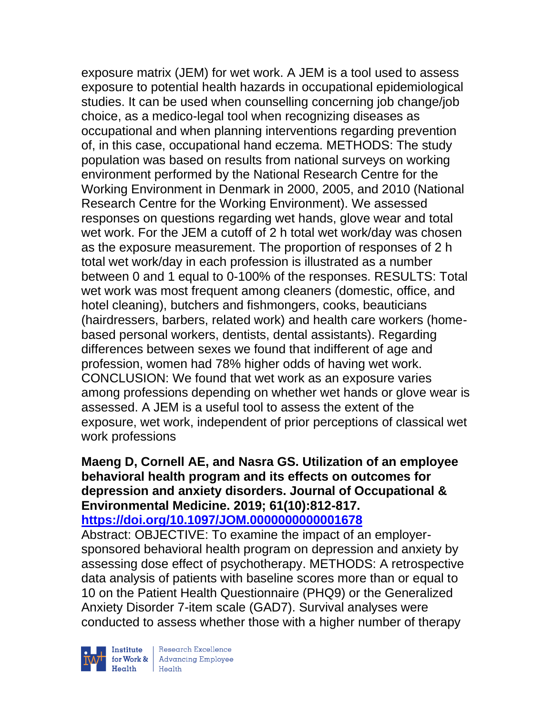exposure matrix (JEM) for wet work. A JEM is a tool used to assess exposure to potential health hazards in occupational epidemiological studies. It can be used when counselling concerning job change/job choice, as a medico-legal tool when recognizing diseases as occupational and when planning interventions regarding prevention of, in this case, occupational hand eczema. METHODS: The study population was based on results from national surveys on working environment performed by the National Research Centre for the Working Environment in Denmark in 2000, 2005, and 2010 (National Research Centre for the Working Environment). We assessed responses on questions regarding wet hands, glove wear and total wet work. For the JEM a cutoff of 2 h total wet work/day was chosen as the exposure measurement. The proportion of responses of 2 h total wet work/day in each profession is illustrated as a number between 0 and 1 equal to 0-100% of the responses. RESULTS: Total wet work was most frequent among cleaners (domestic, office, and hotel cleaning), butchers and fishmongers, cooks, beauticians (hairdressers, barbers, related work) and health care workers (homebased personal workers, dentists, dental assistants). Regarding differences between sexes we found that indifferent of age and profession, women had 78% higher odds of having wet work. CONCLUSION: We found that wet work as an exposure varies among professions depending on whether wet hands or glove wear is assessed. A JEM is a useful tool to assess the extent of the exposure, wet work, independent of prior perceptions of classical wet work professions

#### **Maeng D, Cornell AE, and Nasra GS. Utilization of an employee behavioral health program and its effects on outcomes for depression and anxiety disorders. Journal of Occupational & Environmental Medicine. 2019; 61(10):812-817. <https://doi.org/10.1097/JOM.0000000000001678>**

Abstract: OBJECTIVE: To examine the impact of an employersponsored behavioral health program on depression and anxiety by assessing dose effect of psychotherapy. METHODS: A retrospective data analysis of patients with baseline scores more than or equal to 10 on the Patient Health Questionnaire (PHQ9) or the Generalized Anxiety Disorder 7-item scale (GAD7). Survival analyses were conducted to assess whether those with a higher number of therapy



| Research Excellence Finantium Research Excellence<br>
For Work & Advancing Employee<br>
Health Health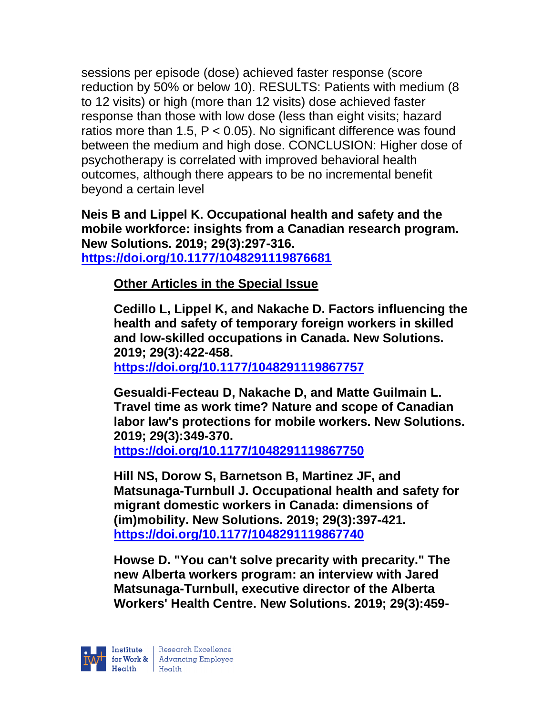sessions per episode (dose) achieved faster response (score reduction by 50% or below 10). RESULTS: Patients with medium (8 to 12 visits) or high (more than 12 visits) dose achieved faster response than those with low dose (less than eight visits; hazard ratios more than 1.5,  $P < 0.05$ ). No significant difference was found between the medium and high dose. CONCLUSION: Higher dose of psychotherapy is correlated with improved behavioral health outcomes, although there appears to be no incremental benefit beyond a certain level

**Neis B and Lippel K. Occupational health and safety and the mobile workforce: insights from a Canadian research program. New Solutions. 2019; 29(3):297-316. <https://doi.org/10.1177/1048291119876681>** 

**Other Articles in the Special Issue**

**Cedillo L, Lippel K, and Nakache D. Factors influencing the health and safety of temporary foreign workers in skilled and low-skilled occupations in Canada. New Solutions. 2019; 29(3):422-458.** 

**<https://doi.org/10.1177/1048291119867757>** 

**Gesualdi-Fecteau D, Nakache D, and Matte Guilmain L. Travel time as work time? Nature and scope of Canadian labor law's protections for mobile workers. New Solutions. 2019; 29(3):349-370.** 

**<https://doi.org/10.1177/1048291119867750>** 

**Hill NS, Dorow S, Barnetson B, Martinez JF, and Matsunaga-Turnbull J. Occupational health and safety for migrant domestic workers in Canada: dimensions of (im)mobility. New Solutions. 2019; 29(3):397-421. <https://doi.org/10.1177/1048291119867740>** 

**Howse D. "You can't solve precarity with precarity." The new Alberta workers program: an interview with Jared Matsunaga-Turnbull, executive director of the Alberta Workers' Health Centre. New Solutions. 2019; 29(3):459-**

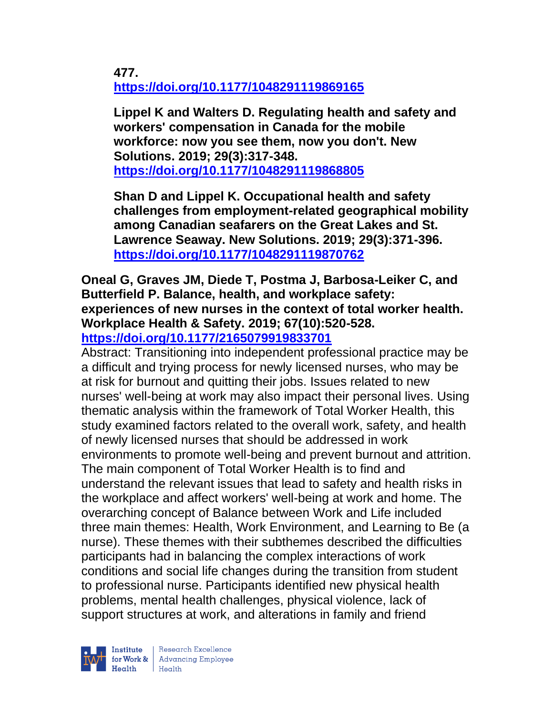**477. <https://doi.org/10.1177/1048291119869165>** 

**Lippel K and Walters D. Regulating health and safety and workers' compensation in Canada for the mobile workforce: now you see them, now you don't. New Solutions. 2019; 29(3):317-348. <https://doi.org/10.1177/1048291119868805>** 

**Shan D and Lippel K. Occupational health and safety challenges from employment-related geographical mobility among Canadian seafarers on the Great Lakes and St. Lawrence Seaway. New Solutions. 2019; 29(3):371-396. <https://doi.org/10.1177/1048291119870762>** 

**Oneal G, Graves JM, Diede T, Postma J, Barbosa-Leiker C, and Butterfield P. Balance, health, and workplace safety: experiences of new nurses in the context of total worker health. Workplace Health & Safety. 2019; 67(10):520-528. <https://doi.org/10.1177/2165079919833701>** 

Abstract: Transitioning into independent professional practice may be a difficult and trying process for newly licensed nurses, who may be at risk for burnout and quitting their jobs. Issues related to new nurses' well-being at work may also impact their personal lives. Using thematic analysis within the framework of Total Worker Health, this study examined factors related to the overall work, safety, and health of newly licensed nurses that should be addressed in work environments to promote well-being and prevent burnout and attrition. The main component of Total Worker Health is to find and understand the relevant issues that lead to safety and health risks in the workplace and affect workers' well-being at work and home. The overarching concept of Balance between Work and Life included three main themes: Health, Work Environment, and Learning to Be (a nurse). These themes with their subthemes described the difficulties participants had in balancing the complex interactions of work conditions and social life changes during the transition from student to professional nurse. Participants identified new physical health problems, mental health challenges, physical violence, lack of support structures at work, and alterations in family and friend

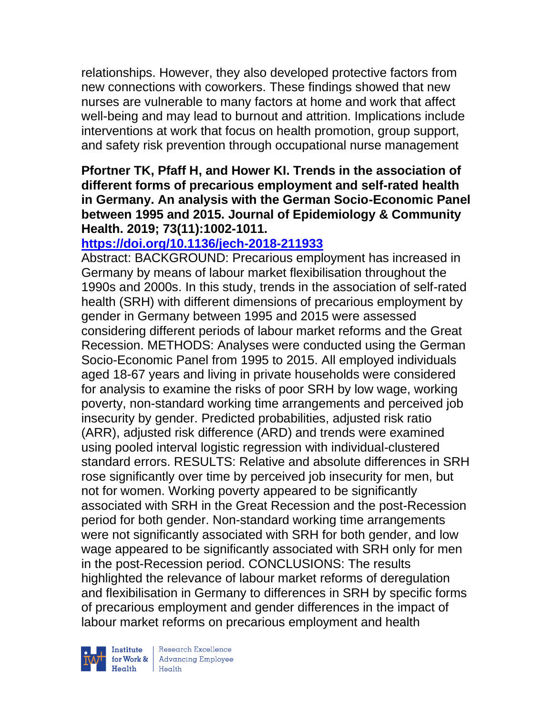relationships. However, they also developed protective factors from new connections with coworkers. These findings showed that new nurses are vulnerable to many factors at home and work that affect well-being and may lead to burnout and attrition. Implications include interventions at work that focus on health promotion, group support, and safety risk prevention through occupational nurse management

### **Pfortner TK, Pfaff H, and Hower KI. Trends in the association of different forms of precarious employment and self-rated health in Germany. An analysis with the German Socio-Economic Panel between 1995 and 2015. Journal of Epidemiology & Community Health. 2019; 73(11):1002-1011.**

## **<https://doi.org/10.1136/jech-2018-211933>**

Abstract: BACKGROUND: Precarious employment has increased in Germany by means of labour market flexibilisation throughout the 1990s and 2000s. In this study, trends in the association of self-rated health (SRH) with different dimensions of precarious employment by gender in Germany between 1995 and 2015 were assessed considering different periods of labour market reforms and the Great Recession. METHODS: Analyses were conducted using the German Socio-Economic Panel from 1995 to 2015. All employed individuals aged 18-67 years and living in private households were considered for analysis to examine the risks of poor SRH by low wage, working poverty, non-standard working time arrangements and perceived job insecurity by gender. Predicted probabilities, adjusted risk ratio (ARR), adjusted risk difference (ARD) and trends were examined using pooled interval logistic regression with individual-clustered standard errors. RESULTS: Relative and absolute differences in SRH rose significantly over time by perceived job insecurity for men, but not for women. Working poverty appeared to be significantly associated with SRH in the Great Recession and the post-Recession period for both gender. Non-standard working time arrangements were not significantly associated with SRH for both gender, and low wage appeared to be significantly associated with SRH only for men in the post-Recession period. CONCLUSIONS: The results highlighted the relevance of labour market reforms of deregulation and flexibilisation in Germany to differences in SRH by specific forms of precarious employment and gender differences in the impact of labour market reforms on precarious employment and health



| Research Excellence for Work & Advancing Employee<br>Health Health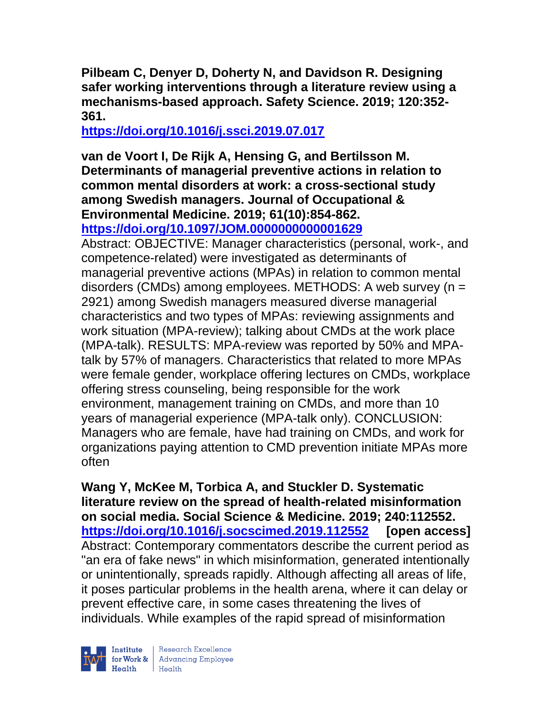**Pilbeam C, Denyer D, Doherty N, and Davidson R. Designing safer working interventions through a literature review using a mechanisms-based approach. Safety Science. 2019; 120:352- 361.** 

**<https://doi.org/10.1016/j.ssci.2019.07.017>** 

#### **van de Voort I, De Rijk A, Hensing G, and Bertilsson M. Determinants of managerial preventive actions in relation to common mental disorders at work: a cross-sectional study among Swedish managers. Journal of Occupational & Environmental Medicine. 2019; 61(10):854-862. <https://doi.org/10.1097/JOM.0000000000001629>**

Abstract: OBJECTIVE: Manager characteristics (personal, work-, and competence-related) were investigated as determinants of managerial preventive actions (MPAs) in relation to common mental disorders (CMDs) among employees. METHODS: A web survey (n = 2921) among Swedish managers measured diverse managerial characteristics and two types of MPAs: reviewing assignments and work situation (MPA-review); talking about CMDs at the work place (MPA-talk). RESULTS: MPA-review was reported by 50% and MPAtalk by 57% of managers. Characteristics that related to more MPAs were female gender, workplace offering lectures on CMDs, workplace offering stress counseling, being responsible for the work environment, management training on CMDs, and more than 10 years of managerial experience (MPA-talk only). CONCLUSION: Managers who are female, have had training on CMDs, and work for organizations paying attention to CMD prevention initiate MPAs more often

**Wang Y, McKee M, Torbica A, and Stuckler D. Systematic literature review on the spread of health-related misinformation on social media. Social Science & Medicine. 2019; 240:112552. <https://doi.org/10.1016/j.socscimed.2019.112552> [open access]** Abstract: Contemporary commentators describe the current period as "an era of fake news" in which misinformation, generated intentionally or unintentionally, spreads rapidly. Although affecting all areas of life, it poses particular problems in the health arena, where it can delay or prevent effective care, in some cases threatening the lives of individuals. While examples of the rapid spread of misinformation



| Research Excellence for Work & Advancing Employee<br>Health Health